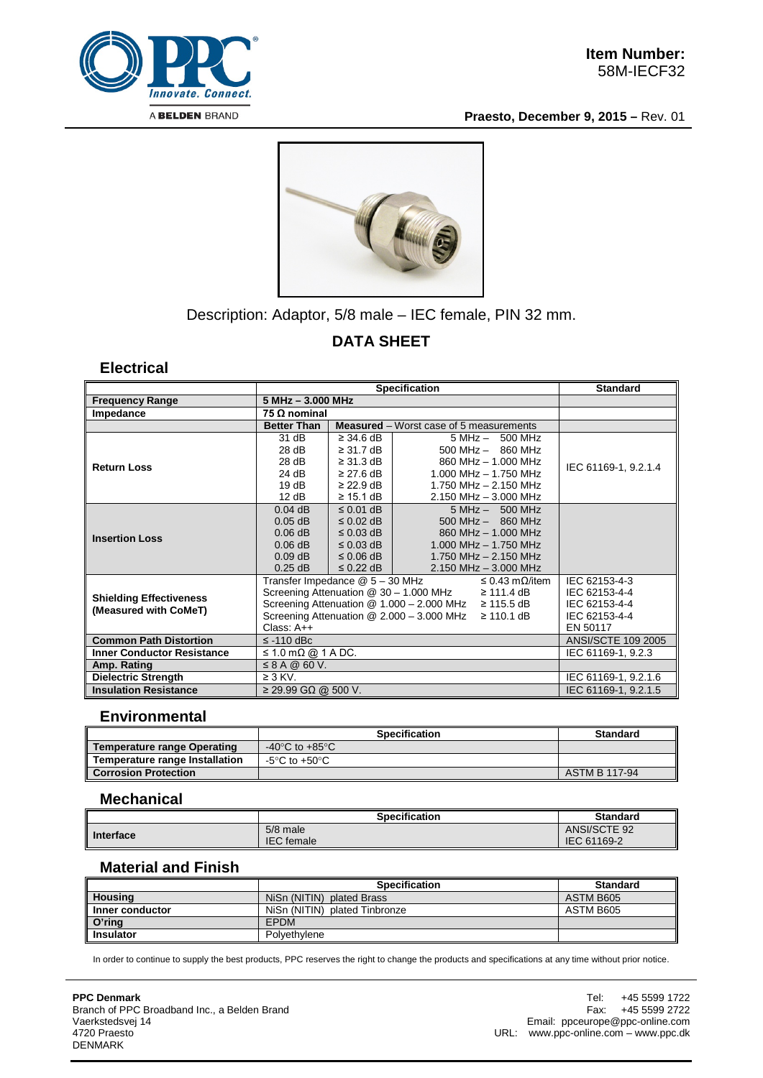

**Praesto, December 9, 2015 –** Rev. 01



## Description: Adaptor, 5/8 male – IEC female, PIN 32 mm.

# **DATA SHEET**

#### **Electrical**

|                                                         | <b>Specification</b>                                                   |                                                |                           | <b>Standard</b>           |                           |
|---------------------------------------------------------|------------------------------------------------------------------------|------------------------------------------------|---------------------------|---------------------------|---------------------------|
| <b>Frequency Range</b>                                  | 5 MHz - 3.000 MHz                                                      |                                                |                           |                           |                           |
| Impedance                                               | 75 $\Omega$ nominal                                                    |                                                |                           |                           |                           |
|                                                         | <b>Better Than</b>                                                     | <b>Measured</b> – Worst case of 5 measurements |                           |                           |                           |
| <b>Return Loss</b>                                      | 31 dB                                                                  | $\geq$ 34.6 dB                                 |                           | $5 MHz - 500 MHz$         |                           |
|                                                         | 28 dB                                                                  | $\geq$ 31.7 dB                                 |                           | $500$ MHz $-$ 860 MHz     |                           |
|                                                         | 28 dB                                                                  | $\geq$ 31.3 dB                                 |                           | 860 MHz - 1,000 MHz       | IEC 61169-1, 9.2.1.4      |
|                                                         | 24 dB                                                                  | $\geq$ 27.6 dB                                 |                           | $1.000$ MHz $- 1.750$ MHz |                           |
|                                                         | 19dB                                                                   | $\geq$ 22.9 dB                                 |                           | 1.750 MHz - 2.150 MHz     |                           |
|                                                         | 12 dB                                                                  | $\geq$ 15.1 dB                                 | $2.150$ MHz $- 3.000$ MHz |                           |                           |
| <b>Insertion Loss</b>                                   | $0.04$ dB                                                              | $\leq$ 0.01 dB                                 |                           | $5 MHz - 500 MHz$         |                           |
|                                                         | $0.05$ dB                                                              | $\leq$ 0.02 dB                                 |                           | $500$ MHz $-$ 860 MHz     |                           |
|                                                         | $0.06$ dB                                                              | $\leq$ 0.03 dB                                 | 860 MHz - 1,000 MHz       |                           |                           |
|                                                         | $0.06$ dB                                                              | $\leq$ 0.03 dB                                 | $1.000$ MHz $- 1.750$ MHz |                           |                           |
|                                                         | $0.09$ dB                                                              | $\leq 0.06$ dB                                 | 1.750 MHz $-$ 2.150 MHz   |                           |                           |
|                                                         | $0.25$ dB                                                              | $\leq$ 0.22 dB $\parallel$                     | $2.150$ MHz $-$ 3.000 MHz |                           |                           |
|                                                         | Transfer Impedance @ 5 - 30 MHz<br>$\leq$ 0.43 m $\Omega$ /item        |                                                |                           | IEC 62153-4-3             |                           |
|                                                         | Screening Attenuation $\textcircled{2}$ 30 - 1.000 MHz $\geq$ 111.4 dB |                                                |                           | IEC 62153-4-4             |                           |
| <b>Shielding Effectiveness</b><br>(Measured with CoMeT) | Screening Attenuation $@ 1.000 - 2.000$ MHz $\geq 115.5$ dB            |                                                |                           |                           | IEC 62153-4-4             |
|                                                         | Screening Attenuation $@ 2.000 - 3.000$ MHz $\geq 110.1$ dB            |                                                |                           |                           | IEC 62153-4-4             |
|                                                         | Class: A++                                                             |                                                |                           |                           | EN 50117                  |
| <b>Common Path Distortion</b>                           | $\le$ -110 dBc                                                         |                                                |                           |                           | <b>ANSI/SCTE 109 2005</b> |
| <b>Inner Conductor Resistance</b>                       | $\leq$ 1.0 m $\Omega$ @ 1 A DC.                                        |                                                |                           |                           | IEC 61169-1, 9.2.3        |
| Amp. Rating                                             | $\leq$ 8 A @ 60 V.                                                     |                                                |                           |                           |                           |
| <b>Dielectric Strength</b>                              | $\geq$ 3 KV.                                                           |                                                |                           |                           | IEC 61169-1, 9.2.1.6      |
| <b>Insulation Resistance</b>                            | $\geq$ 29.99 GΩ @ 500 V.                                               |                                                |                           | IEC 61169-1, 9.2.1.5      |                           |

#### **Environmental**

|                                       | <b>Specification</b>              | <b>Standard</b> |
|---------------------------------------|-----------------------------------|-----------------|
| <b>Temperature range Operating</b>    | -40°C to +85°C                    |                 |
| <b>Temperature range Installation</b> | $-5^{\circ}$ C to $+50^{\circ}$ C |                 |
| <b>Corrosion Protection</b>           |                                   | ASTM B 117-94   |

#### **Mechanical**

|           | <b>Specification</b>          | <b>Standard</b>             |
|-----------|-------------------------------|-----------------------------|
| Interface | 5/8 male<br><b>IEC</b> female | ANSI/SCTE 92<br>IEC 61169-2 |

## **Material and Finish**

|                    | <b>Specification</b>          | <b>Standard</b> |
|--------------------|-------------------------------|-----------------|
| <b>Housing</b>     | NiSn (NITIN) plated Brass     | ASTM B605       |
| ll Inner conductor | NiSn (NITIN) plated Tinbronze | ASTM B605       |
| O'ring             | <b>EPDM</b>                   |                 |
| ll Insulator       | Polvethylene                  |                 |

In order to continue to supply the best products, PPC reserves the right to change the products and specifications at any time without prior notice.

**PPC Denmark** Branch of PPC Broadband Inc., a Belden Brand Vaerkstedsvej 14 4720 Praesto DENMARK